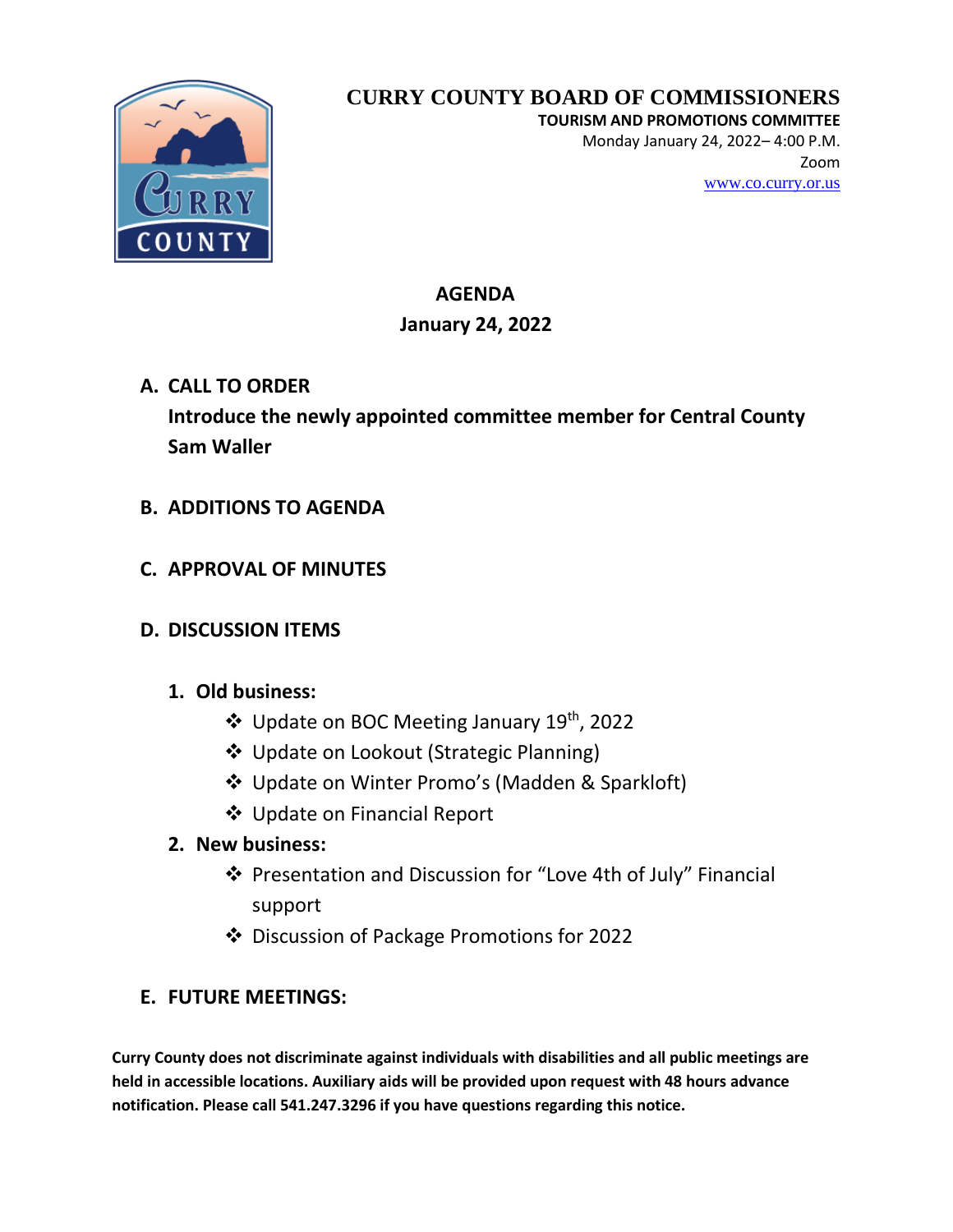

# **CURRY COUNTY BOARD OF COMMISSIONERS**

**TOURISM AND PROMOTIONS COMMITTEE**

Monday January 24, 2022– 4:00 P.M. Zoom [www.co.curry.or.us](http://www.co.curry.or.us/)

#### **AGENDA January 24, 2022**

**A. CALL TO ORDER Introduce the newly appointed committee member for Central County Sam Waller**

- **B. ADDITIONS TO AGENDA**
- **C. APPROVAL OF MINUTES**
- **D. DISCUSSION ITEMS**

## **1. Old business:**

- ❖ Update on BOC Meeting January 19th, 2022
- ❖ Update on Lookout (Strategic Planning)
- ❖ Update on Winter Promo's (Madden & Sparkloft)
- ❖ Update on Financial Report

## **2. New business:**

- ❖ Presentation and Discussion for "Love 4th of July" Financial support
- ❖ Discussion of Package Promotions for 2022

## **E. FUTURE MEETINGS:**

**Curry County does not discriminate against individuals with disabilities and all public meetings are held in accessible locations. Auxiliary aids will be provided upon request with 48 hours advance notification. Please call 541.247.3296 if you have questions regarding this notice.**